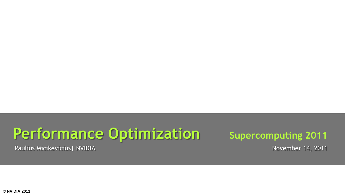# **Performance Optimization** Supercomputing 2011

Paulius Micikevicius | NVIDIA November 14, 2011

**© NVIDIA 2011**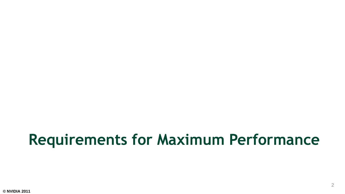#### **Requirements for Maximum Performance**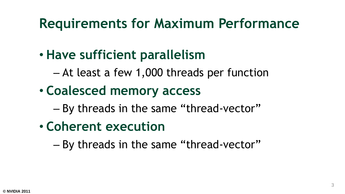#### **Requirements for Maximum Performance**

#### • **Have sufficient parallelism**

- At least a few 1,000 threads per function
- **Coalesced memory access**
	- By threads in the same "thread-vector"
- **Coherent execution**
	- By threads in the same "thread-vector"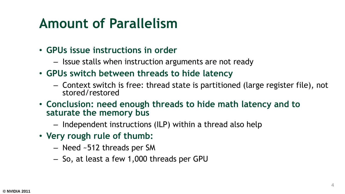#### **Amount of Parallelism**

- **GPUs issue instructions in order**
	- Issue stalls when instruction arguments are not ready
- **GPUs switch between threads to hide latency**
	- Context switch is free: thread state is partitioned (large register file), not stored/restored
- **Conclusion: need enough threads to hide math latency and to saturate the memory bus**
	- Independent instructions (ILP) within a thread also help
- **Very rough rule of thumb:**
	- Need ~512 threads per SM
	- So, at least a few 1,000 threads per GPU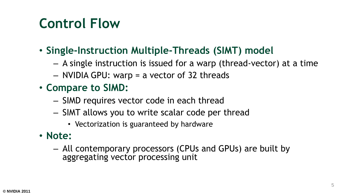#### **Control Flow**

- **Single-Instruction Multiple-Threads (SIMT) model**
	- A single instruction is issued for a warp (thread-vector) at a time
	- NVIDIA GPU: warp = a vector of 32 threads
- **Compare to SIMD:**
	- SIMD requires vector code in each thread
	- SIMT allows you to write scalar code per thread
		- Vectorization is guaranteed by hardware
- **Note:**
	- All contemporary processors (CPUs and GPUs) are built by aggregating vector processing unit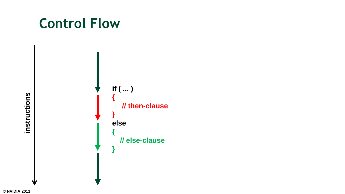#### **Control Flow**



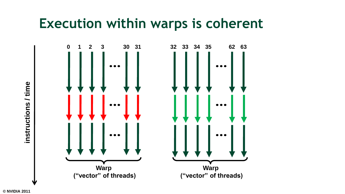#### **Execution within warps is coherent**



**© NVIDIA 2011**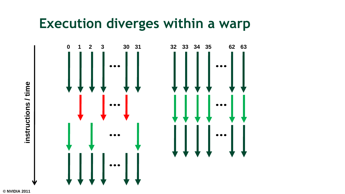#### **Execution diverges within a warp**



**© NVIDIA 2011**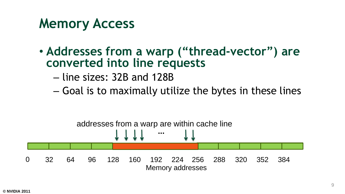#### **Memory Access**

- **Addresses from a warp ("thread-vector") are converted into line requests**
	- line sizes: 32B and 128B
	- Goal is to maximally utilize the bytes in these lines

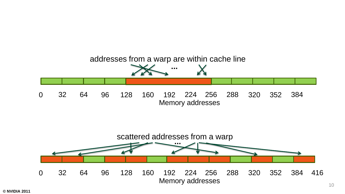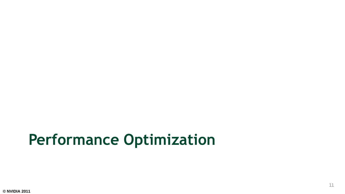### **Performance Optimization**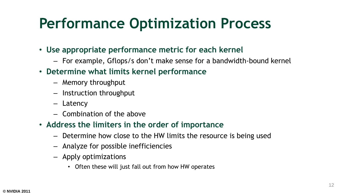### **Performance Optimization Process**

- **Use appropriate performance metric for each kernel**
	- For example, Gflops/s don't make sense for a bandwidth-bound kernel
- **Determine what limits kernel performance**
	- Memory throughput
	- Instruction throughput
	- Latency
	- Combination of the above
- **Address the limiters in the order of importance**
	- Determine how close to the HW limits the resource is being used
	- Analyze for possible inefficiencies
	- Apply optimizations
		- Often these will just fall out from how HW operates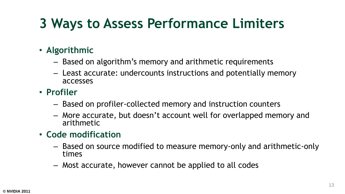### **3 Ways to Assess Performance Limiters**

#### • **Algorithmic**

- Based on algorithm's memory and arithmetic requirements
- Least accurate: undercounts instructions and potentially memory accesses
- **Profiler**
	- Based on profiler-collected memory and instruction counters
	- More accurate, but doesn't account well for overlapped memory and arithmetic
- **Code modification**
	- Based on source modified to measure memory-only and arithmetic-only times
	- Most accurate, however cannot be applied to all codes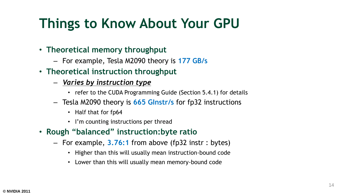#### **Things to Know About Your GPU**

#### • **Theoretical memory throughput**

- For example, Tesla M2090 theory is **177 GB/s**
- **Theoretical instruction throughput**
	- *Varies by instruction type*
		- refer to the CUDA Programming Guide (Section 5.4.1) for details
	- Tesla M2090 theory is **665 GInstr/s** for fp32 instructions
		- Half that for fp64
		- I'm counting instructions per thread
- **Rough "balanced" instruction:byte ratio**
	- For example, **3.76:1** from above (fp32 instr : bytes)
		- Higher than this will usually mean instruction-bound code
		- Lower than this will usually mean memory-bound code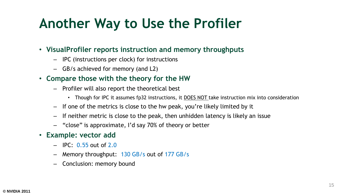#### **Another Way to Use the Profiler**

- **VisualProfiler reports instruction and memory throughputs**
	- IPC (instructions per clock) for instructions
	- GB/s achieved for memory (and L2)
- **Compare those with the theory for the HW**
	- Profiler will also report the theoretical best
		- Though for IPC it assumes fp32 instructions, it DOES NOT take instruction mix into consideration
	- If one of the metrics is close to the hw peak, you're likely limited by it
	- If neither metric is close to the peak, then unhidden latency is likely an issue
	- "close" is approximate, I'd say 70% of theory or better
- **Example: vector add**
	- IPC: 0.55 out of 2.0
	- Memory throughput: 130 GB/s out of 177 GB/s
	- Conclusion: memory bound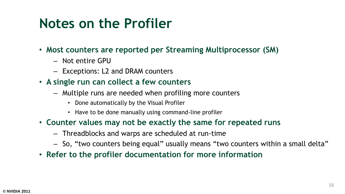#### **Notes on the Profiler**

- **Most counters are reported per Streaming Multiprocessor (SM)**
	- Not entire GPU
	- Exceptions: L2 and DRAM counters
- **A single run can collect a few counters**
	- Multiple runs are needed when profiling more counters
		- Done automatically by the Visual Profiler
		- Have to be done manually using command-line profiler
- **Counter values may not be exactly the same for repeated runs**
	- Threadblocks and warps are scheduled at run-time
	- So, "two counters being equal" usually means "two counters within a small delta"
- **Refer to the profiler documentation for more information**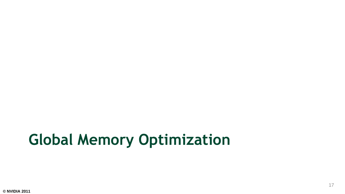# **Global Memory Optimization**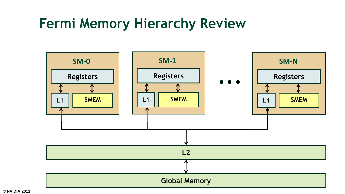#### **Fermi Memory Hierarchy Review**



**© NVIDIA 2011**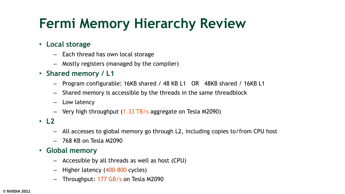#### **Fermi Memory Hierarchy Review**

- **Local storage**
	- Each thread has own local storage
	- Mostly registers (managed by the compiler)
- **Shared memory / L1**
	- Program configurable: 16KB shared / 48 KB L1 OR 48KB shared / 16KB L1
	- Shared memory is accessible by the threads in the same threadblock
	- Low latency
	- $-$  Very high throughput  $(1.33 \text{ TB/s}$  aggregate on Tesla M2090)
- **L2**
	- All accesses to global memory go through L2, including copies to/from CPU host
	- 768 KB on Tesla M2090
- **Global memory**
	- Accessible by all threads as well as host (CPU)
	- Higher latency (400-800 cycles)
	- Throughput: 177 GB/s on Tesla M2090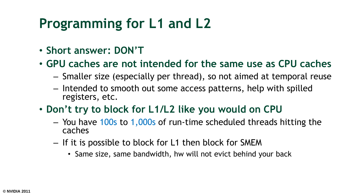#### **Programming for L1 and L2**

- **Short answer: DON'T**
- **GPU caches are not intended for the same use as CPU caches**
	- Smaller size (especially per thread), so not aimed at temporal reuse
	- Intended to smooth out some access patterns, help with spilled registers, etc.
- **Don't try to block for L1/L2 like you would on CPU**
	- You have 100s to 1,000s of run-time scheduled threads hitting the caches
	- If it is possible to block for L1 then block for SMEM
		- Same size, same bandwidth, hw will not evict behind your back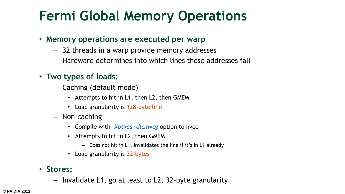#### **Fermi Global Memory Operations**

- **Memory operations are executed per warp**
	- 32 threads in a warp provide memory addresses
	- Hardware determines into which lines those addresses fall
- **Two types of loads:**
	- Caching (default mode)
		- Attempts to hit in L1, then L2, then GMEM
		- Load granularity is 128-byte line
	- Non-caching
		- Compile with *–Xptxas –dlcm=cg* option to nvcc
		- Attempts to hit in L2, then GMEM
			- Does not hit in L1, invalidates the line if it's in L1 already
		- Load granularity is 32-bytes
- **Stores:**
	- Invalidate L1, go at least to L2, 32-byte granularity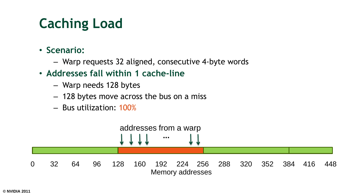### **Caching Load**

- **Scenario:**
	- Warp requests 32 aligned, consecutive 4-byte words
- **Addresses fall within 1 cache-line**
	- Warp needs 128 bytes
	- 128 bytes move across the bus on a miss
	- Bus utilization: 100%

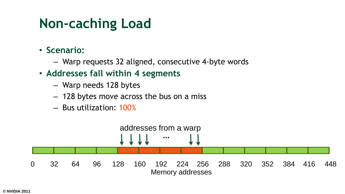#### **Non-caching Load**

- **Scenario:**
	- Warp requests 32 aligned, consecutive 4-byte words
- **Addresses fall within 4 segments**
	- Warp needs 128 bytes
	- 128 bytes move across the bus on a miss
	- Bus utilization: 100%

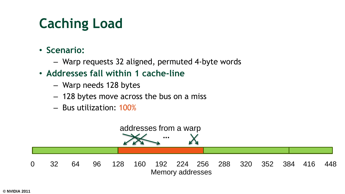### **Caching Load**

- **Scenario:**
	- Warp requests 32 aligned, permuted 4-byte words
- **Addresses fall within 1 cache-line**
	- Warp needs 128 bytes
	- 128 bytes move across the bus on a miss
	- Bus utilization: 100%

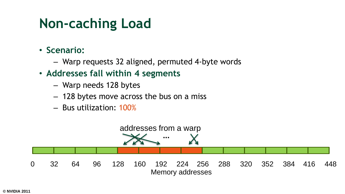#### **Non-caching Load**

- **Scenario:**
	- Warp requests 32 aligned, permuted 4-byte words
- **Addresses fall within 4 segments**
	- Warp needs 128 bytes
	- 128 bytes move across the bus on a miss
	- Bus utilization: 100%

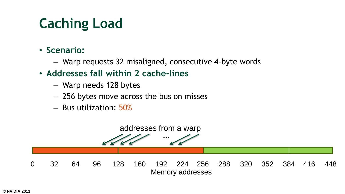### **Caching Load**

- **Scenario:**
	- Warp requests 32 misaligned, consecutive 4-byte words
- **Addresses fall within 2 cache-lines**
	- Warp needs 128 bytes
	- 256 bytes move across the bus on misses
	- Bus utilization: 50%

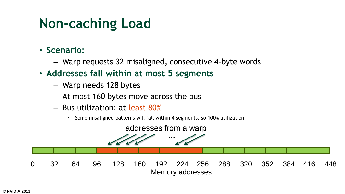#### **Non-caching Load**

- **Scenario:**
	- Warp requests 32 misaligned, consecutive 4-byte words
- **Addresses fall within at most 5 segments**
	- Warp needs 128 bytes
	- At most 160 bytes move across the bus
	- Bus utilization: at least 80%
		- Some misaligned patterns will fall within 4 segments, so 100% utilization

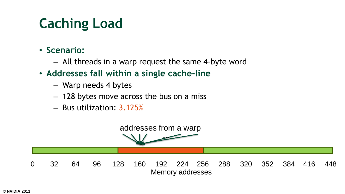### **Caching Load**

- **Scenario:**
	- All threads in a warp request the same 4-byte word
- **Addresses fall within a single cache-line**
	- Warp needs 4 bytes
	- 128 bytes move across the bus on a miss
	- Bus utilization: 3.125%

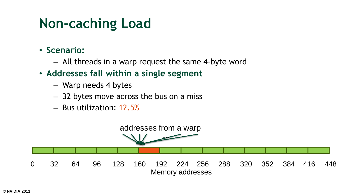#### **Non-caching Load**

- **Scenario:**
	- All threads in a warp request the same 4-byte word
- **Addresses fall within a single segment**
	- Warp needs 4 bytes
	- 32 bytes move across the bus on a miss
	- Bus utilization: 12.5%

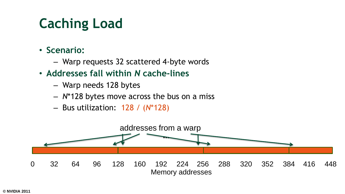### **Caching Load**

- **Scenario:**
	- Warp requests 32 scattered 4-byte words
- **Addresses fall within** *N* **cache-lines**
	- Warp needs 128 bytes
	- *N*\*128 bytes move across the bus on a miss
	- Bus utilization: 128 / (*N*\*128)

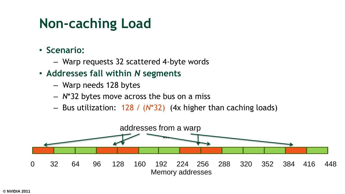#### **Non-caching Load**

- **Scenario:**
	- Warp requests 32 scattered 4-byte words
- **Addresses fall within** *N* **segments**
	- Warp needs 128 bytes
	- *N*\*32 bytes move across the bus on a miss
	- Bus utilization: 128 / (*N*\*32) (4x higher than caching loads)

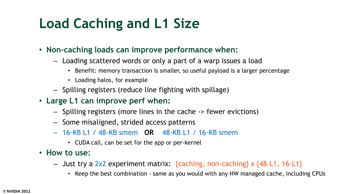### **Load Caching and L1 Size**

- **Non-caching loads can improve performance when:**
	- Loading scattered words or only a part of a warp issues a load
		- Benefit: memory transaction is smaller, so useful payload is a larger percentage
		- Loading halos, for example
	- Spilling registers (reduce line fighting with spillage)
- **Large L1 can improve perf when:**
	- Spilling registers (more lines in the cache -> fewer evictions)
	- Some misaligned, strided access patterns
	- 16-KB L1 / 48-KB smem **OR** 48-KB L1 / 16-KB smem
		- CUDA call, can be set for the app or per-kernel
- **How to use:**
	- $-$  Just try a 2x2 experiment matrix: {caching, non-caching} x {48-L1, 16-L1}
		- Keep the best combination same as you would with any HW managed cache, including CPUs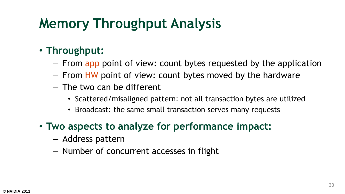#### • **Throughput:**

- From app point of view: count bytes requested by the application
- From HW point of view: count bytes moved by the hardware
- The two can be different
	- Scattered/misaligned pattern: not all transaction bytes are utilized
	- Broadcast: the same small transaction serves many requests
- **Two aspects to analyze for performance impact:**
	- Address pattern
	- Number of concurrent accesses in flight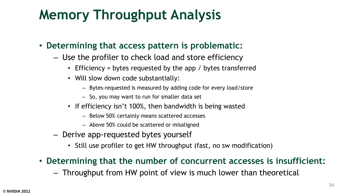- **Determining that access pattern is problematic:**
	- Use the profiler to check load and store efficiency
		- Efficiency = bytes requested by the app / bytes transferred
		- Will slow down code substantially:
			- Bytes-requested is measured by adding code for every load/store
			- So, you may want to run for smaller data set
		- If efficiency isn't 100%, then bandwidth is being wasted
			- Below 50% certainly means scattered accesses
			- Above 50% could be scattered or misaligned
	- Derive app-requested bytes yourself
		- Still use profiler to get HW throughput (fast, no sw modification)
- **Determining that the number of concurrent accesses is insufficient:**
	- Throughput from HW point of view is much lower than theoretical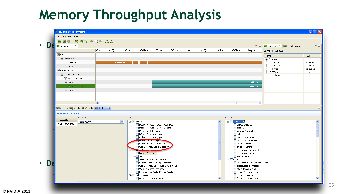| DA<br><b>New Session 23</b>                                                                             |                   |            |                          |                                                                           |         |          |         |          |                  |                                   | $\blacksquare$                                               | Properties & Em Detail Graphs |                         |
|---------------------------------------------------------------------------------------------------------|-------------------|------------|--------------------------|---------------------------------------------------------------------------|---------|----------|---------|----------|------------------|-----------------------------------|--------------------------------------------------------------|-------------------------------|-------------------------|
|                                                                                                         | 0.3 <sub>ms</sub> | 80.35 ms   | 80.4 ms                  | 80.45 ms                                                                  | 80.5 ms | 80.55 ms | 80.6 ms | 80.65 ms | 80.7 ms          | 80.75 ms                          | 80.8 <sub>ms</sub>                                           | $0.7\%$ [1] add()             |                         |
| Process: 728                                                                                            |                   |            |                          |                                                                           |         |          |         |          |                  |                                   |                                                              | Name                          | Value                   |
| $\equiv$ Thread: 3092                                                                                   |                   |            |                          |                                                                           |         |          |         |          |                  |                                   |                                                              | <b>□</b> ·Duration            |                         |
| Runtime API                                                                                             |                   | cudaMalloc |                          |                                                                           |         |          |         |          |                  |                                   |                                                              | Session<br>Timeline           | 93.233 ms               |
| Driver API                                                                                              |                   |            |                          |                                                                           |         |          |         |          |                  |                                   |                                                              | Kernel                        | 81.141 ms<br>666.598 µs |
| □ [0] Tesla M2090                                                                                       |                   |            |                          |                                                                           |         |          |         |          |                  |                                   |                                                              | Utilization                   | 0.7%                    |
| Context 1 (CUDA)                                                                                        |                   |            |                          |                                                                           |         |          |         |          |                  |                                   |                                                              | Invocations                   | $\vert$ 1               |
| MemCpy (DtoH)                                                                                           |                   |            |                          |                                                                           |         |          |         |          |                  |                                   |                                                              |                               |                         |
| $\equiv$ Compute<br>$\Psi$ 0.7% [1] add()                                                               |                   |            |                          |                                                                           |         |          |         |          |                  |                                   | add()                                                        |                               |                         |
| Streams                                                                                                 |                   |            |                          |                                                                           |         |          |         |          |                  |                                   | add()                                                        |                               |                         |
|                                                                                                         | $\leq$            |            |                          |                                                                           |         |          |         |          |                  |                                   | $\,$                                                         |                               |                         |
| <b>Lim</b> Analysis <b>To Details E. Console The Settings</b> $\boxtimes$<br><b>Session New Session</b> |                   |            |                          |                                                                           |         |          |         |          |                  |                                   |                                                              |                               |                         |
| Devices                                                                                                 |                   |            | Metrics                  |                                                                           |         |          |         |          |                  | Events                            |                                                              |                               |                         |
| Executable<br>Tesla M2090                                                                               |                   |            | $\checkmark$<br>□ Memory |                                                                           |         |          |         |          | $\blacktriangle$ | $\Box$ Instruction                |                                                              |                               |                         |
| <b>Metrics/Events</b>                                                                                   |                   |            |                          | Requested Global Load Throughput                                          |         |          |         |          |                  | $\Box$ sm cta launched            |                                                              |                               |                         |
|                                                                                                         |                   |            |                          | Requested Global Store Throughput<br>DRAM Read Throughput                 |         |          |         |          |                  | $\Box$ branch<br>divergent branch |                                                              |                               |                         |
|                                                                                                         |                   |            |                          | DRAM Write Throughput                                                     |         |          |         |          |                  | $\Box$ active cycles              |                                                              |                               |                         |
|                                                                                                         |                   |            |                          | Global Store Throughput                                                   |         |          |         |          |                  |                                   | nstructions issued<br>nstructions executed                   |                               |                         |
|                                                                                                         |                   |            |                          | <b>Consideration of the Construction</b><br>Global Memory Load Efficiency |         |          |         |          |                  | warps launched                    |                                                              |                               |                         |
|                                                                                                         |                   |            |                          | Global Memory Store Efficiency                                            |         |          |         |          |                  | threads launched                  |                                                              |                               |                         |
|                                                                                                         |                   |            |                          | En provinction                                                            |         |          |         |          |                  |                                   | Thread inst executed_0<br>Thread inst executed_1             |                               |                         |
|                                                                                                         |                   |            |                          | Branch Efficiency<br>$\Box$ IPC                                           |         |          |         |          |                  | active warps                      |                                                              |                               |                         |
|                                                                                                         |                   |            |                          | Instruction Replay Overhead                                               |         |          |         |          |                  | <b>E</b> Memory                   |                                                              |                               |                         |
|                                                                                                         |                   |            |                          | Shared Memory Replay Overhead<br>Global Memory Cache Replay Overhead      |         |          |         |          |                  |                                   | uncached global load transaction<br>global store transaction |                               |                         |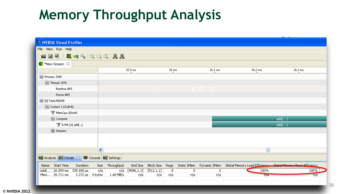| NVIDIA Visual Profiler                                                                    |                         |      |            |                  |            |       |     |                            |         |                                                                |  |
|-------------------------------------------------------------------------------------------|-------------------------|------|------------|------------------|------------|-------|-----|----------------------------|---------|----------------------------------------------------------------|--|
| File View Run Help                                                                        |                         |      |            |                  |            |       |     |                            |         |                                                                |  |
| <sup>2</sup> H W H H C G A A A A                                                          |                         |      |            |                  |            |       |     |                            |         |                                                                |  |
| <b>New Session</b> &                                                                      |                         |      |            |                  |            |       |     |                            |         |                                                                |  |
|                                                                                           |                         |      |            | 25.9 ms          |            | 26 ms |     | 26.1 ms                    | 26.2 ms | 26.3 ms                                                        |  |
| $\blacksquare$ Process: 3300                                                              |                         |      |            |                  |            |       |     |                            |         |                                                                |  |
| $\Box$ Thread: 2576                                                                       |                         |      |            |                  |            |       |     |                            |         |                                                                |  |
| Runtime API                                                                               |                         |      |            |                  |            |       |     |                            |         |                                                                |  |
| Driver API                                                                                |                         |      |            |                  |            |       |     |                            |         |                                                                |  |
| □ [0] Tesla M2090                                                                         |                         |      |            |                  |            |       |     |                            |         |                                                                |  |
| Context 1 (CUDA)                                                                          |                         |      |            |                  |            |       |     |                            |         |                                                                |  |
| MemCpy (DtoH)                                                                             |                         |      |            |                  |            |       |     |                            |         |                                                                |  |
| $\Box$ Compute                                                                            |                         |      |            |                  |            |       |     |                            |         | add()                                                          |  |
| $\P$ 0.9% [1] add()                                                                       |                         |      |            |                  |            |       |     |                            |         | add()                                                          |  |
| Streams                                                                                   |                         |      |            |                  |            |       |     |                            |         |                                                                |  |
|                                                                                           |                         |      |            |                  |            |       |     |                            |         |                                                                |  |
|                                                                                           |                         |      |            |                  |            |       |     |                            |         |                                                                |  |
|                                                                                           |                         | ≺    |            |                  |            |       |     |                            |         |                                                                |  |
| <b>Lim</b> Analysis <b>Liq</b> Details $\boxtimes$ <b>Li</b> Console <b>Li</b> c Settings |                         |      |            |                  |            |       |     |                            |         |                                                                |  |
| Name Start Time                                                                           | Duration                | Size | Throughput | Grid Size        | Block Size | Regs  |     | Static SMem   Dynamic SMem |         | Global Memory Load Efficiency   Global Momory Store Efficiency |  |
| add( 26.093 ms 335.692 µs                                                                 |                         | n/a  |            | $n/a$ [4096,1,1] | [512,1,1]  | 8     | 0   | 0                          | 100%    | 100%                                                           |  |
| Mem 26.711 ms                                                                             | 2.272 $\mu$ s   4 bytes |      | 1.68 MB/s  | n/a              | n/a        | n/a   | n/a | n/a                        | nya     | n/a                                                            |  |
|                                                                                           |                         |      |            |                  |            |       |     |                            |         |                                                                |  |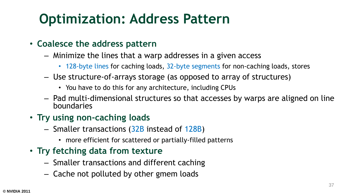#### **Optimization: Address Pattern**

#### • **Coalesce the address pattern**

- Minimize the lines that a warp addresses in a given access
	- 128-byte lines for caching loads, 32-byte segments for non-caching loads, stores
- Use structure-of-arrays storage (as opposed to array of structures)
	- You have to do this for any architecture, including CPUs
- Pad multi-dimensional structures so that accesses by warps are aligned on line boundaries
- **Try using non-caching loads**
	- Smaller transactions (32B instead of 128B)
		- more efficient for scattered or partially-filled patterns
- **Try fetching data from texture**
	- Smaller transactions and different caching
	- Cache not polluted by other gmem loads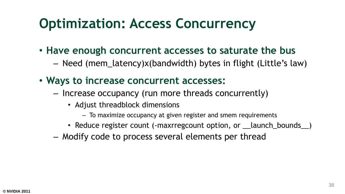#### **Optimization: Access Concurrency**

- **Have enough concurrent accesses to saturate the bus**
	- Need (mem\_latency)x(bandwidth) bytes in flight (Little's law)
- **Ways to increase concurrent accesses:**
	- Increase occupancy (run more threads concurrently)
		- Adjust threadblock dimensions
			- To maximize occupancy at given register and smem requirements
		- Reduce register count (-maxrregcount option, or \_\_launch\_bounds\_)
	- Modify code to process several elements per thread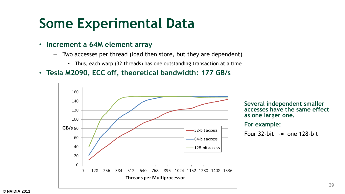#### **Some Experimental Data**

- **Increment a 64M element array**
	- Two accesses per thread (load then store, but they are dependent)
		- Thus, each warp (32 threads) has one outstanding transaction at a time
- **Tesla M2090, ECC off, theoretical bandwidth: 177 GB/s**



**Several independent smaller accesses have the same effect as one larger one.**

**For example:**

Four  $32$ -bit  $\sim$  = one 128-bit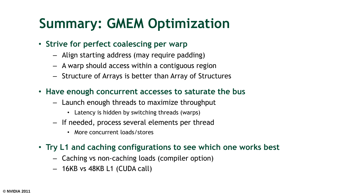#### **Summary: GMEM Optimization**

- **Strive for perfect coalescing per warp**
	- Align starting address (may require padding)
	- A warp should access within a contiguous region
	- Structure of Arrays is better than Array of Structures
- **Have enough concurrent accesses to saturate the bus**
	- Launch enough threads to maximize throughput
		- Latency is hidden by switching threads (warps)
	- If needed, process several elements per thread
		- More concurrent loads/stores
- **Try L1 and caching configurations to see which one works best**
	- Caching vs non-caching loads (compiler option)
	- 16KB vs 48KB L1 (CUDA call)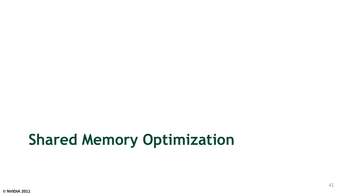# **Shared Memory Optimization**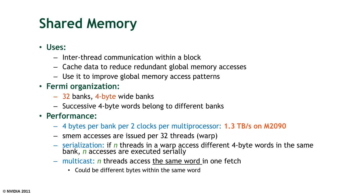### **Shared Memory**

- **Uses:**
	- Inter-thread communication within a block
	- Cache data to reduce redundant global memory accesses
	- Use it to improve global memory access patterns
- **Fermi organization:**
	- 32 banks, 4-byte wide banks
	- Successive 4-byte words belong to different banks
- **Performance:**
	- 4 bytes per bank per 2 clocks per multiprocessor: **1.3 TB/s on M2090**
	- smem accesses are issued per 32 threads (warp)
	- serialization: if *n* threads in a warp access different 4-byte words in the same bank, *n* accesses are executed serially
	- multicast: *n* threads access the same word in one fetch
		- Could be different bytes within the same word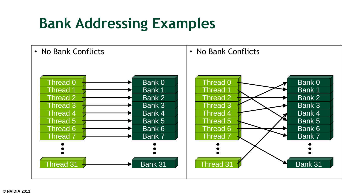# **Bank Addressing Examples**

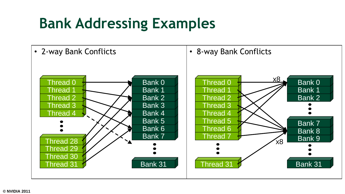# **Bank Addressing Examples**

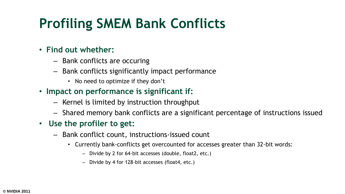#### **Profiling SMEM Bank Conflicts**

#### • **Find out whether:**

- Bank conflicts are occuring
- Bank conflicts significantly impact performance
	- No need to optimize if they don't
- **Impact on performance is significant if:**
	- Kernel is limited by instruction throughput
	- Shared memory bank conflicts are a significant percentage of instructions issued
- **Use the profiler to get:**
	- Bank conflict count, instructions-issued count
		- Currently bank-conflicts get overcounted for accesses greater than 32-bit words:
			- Divide by 2 for 64-bit accesses (double, float2, etc.)
			- Divide by 4 for 128-bit accesses (float4, etc.)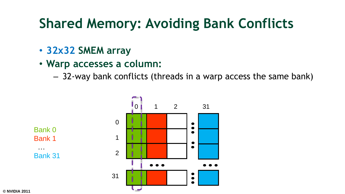#### **Shared Memory: Avoiding Bank Conflicts**

- **32x32 SMEM array**
- **Warp accesses a column:**

– 32-way bank conflicts (threads in a warp access the same bank)

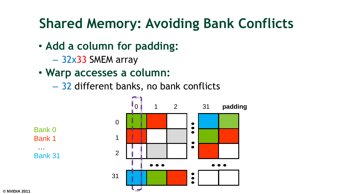#### **Shared Memory: Avoiding Bank Conflicts**

- **Add a column for padding:**
	- 32x33 SMEM array
- **Warp accesses a column:**
	- 32 different banks, no bank conflicts

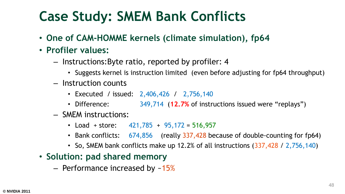#### **Case Study: SMEM Bank Conflicts**

- **One of CAM-HOMME kernels (climate simulation), fp64**
- **Profiler values:**
	- Instructions:Byte ratio, reported by profiler: 4
		- Suggests kernel is instruction limited (even before adjusting for fp64 throughput)
	- Instruction counts
		- Executed / issued: 2,406,426 / 2,756,140
		- Difference: 349,714 (**12.7%** of instructions issued were "replays")
	- SMEM instructions:
		- Load + store:  $421,785 + 95,172 = 516,957$
		- Bank conflicts: 674,856 (really 337,428 because of double-counting for fp64)
		- So, SMEM bank conflicts make up 12.2% of all instructions (337,428 / 2,756,140)
- **Solution: pad shared memory**
	- Performance increased by  $~15\%$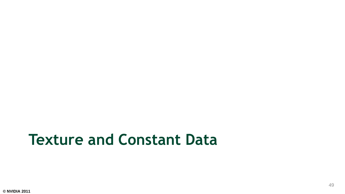# **Texture and Constant Data**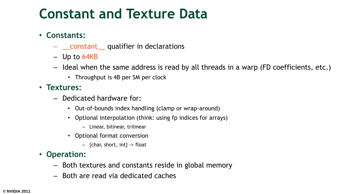#### **Constant and Texture Data**

#### • **Constants:**

- \_\_constant\_\_ qualifier in declarations
- Up to 64KB
- Ideal when the same address is read by all threads in a warp (FD coefficients, etc.)
	- Throughput is 4B per SM per clock
- **Textures:**
	- Dedicated hardware for:
		- Out-of-bounds index handling (clamp or wrap-around)
		- Optional interpolation (think: using fp indices for arrays)
			- Linear, bilinear, trilinear
		- Optional format conversion
			- $-$  {char, short, int} -> float
- **Operation:**
	- Both textures and constants reside in global memory
	- Both are read via dedicated caches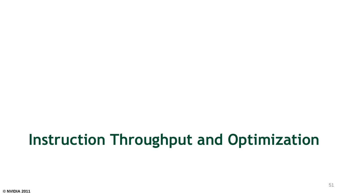# **Instruction Throughput and Optimization**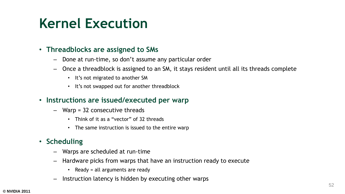#### **Kernel Execution**

#### • **Threadblocks are assigned to SMs**

- Done at run-time, so don't assume any particular order
- Once a threadblock is assigned to an SM, it stays resident until all its threads complete
	- It's not migrated to another SM
	- It's not swapped out for another threadblock
- **Instructions are issued/executed per warp**
	- Warp = 32 consecutive threads
		- Think of it as a "vector" of 32 threads
		- The same instruction is issued to the entire warp

#### • **Scheduling**

- Warps are scheduled at run-time
- Hardware picks from warps that have an instruction ready to execute
	- Ready = all arguments are ready
- Instruction latency is hidden by executing other warps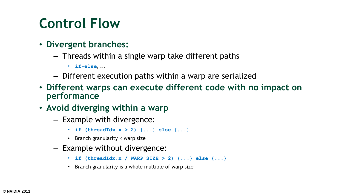#### **Control Flow**

- **Divergent branches:**
	- Threads within a single warp take different paths
		- **if-else**, ...
	- Different execution paths within a warp are serialized
- **Different warps can execute different code with no impact on performance**
- **Avoid diverging within a warp**
	- Example with divergence:
		- if  $(threadIdx.x > 2)$   $\{... \}$  else  $\{... \}$
		- Branch granularity < warp size
	- Example without divergence:
		- **if (threadIdx.x / WARP\_SIZE > 2) {...} else {...}**
		- Branch granularity is a whole multiple of warp size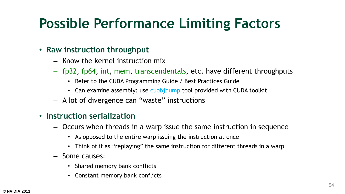#### **Possible Performance Limiting Factors**

#### • **Raw instruction throughput**

- Know the kernel instruction mix
- fp32, fp64, int, mem, transcendentals, etc. have different throughputs
	- Refer to the CUDA Programming Guide / Best Practices Guide
	- Can examine assembly: use cuobjdump tool provided with CUDA toolkit
- A lot of divergence can "waste" instructions

#### • **Instruction serialization**

- Occurs when threads in a warp issue the same instruction in sequence
	- As opposed to the entire warp issuing the instruction at once
	- Think of it as "replaying" the same instruction for different threads in a warp
- Some causes:
	- Shared memory bank conflicts
	- Constant memory bank conflicts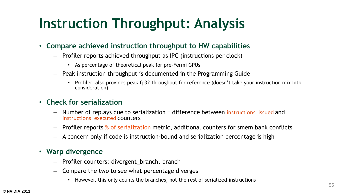#### **Instruction Throughput: Analysis**

- **Compare achieved instruction throughput to HW capabilities**
	- Profiler reports achieved throughput as IPC (instructions per clock)
		- As percentage of theoretical peak for pre-Fermi GPUs
	- Peak instruction throughput is documented in the Programming Guide
		- Profiler also provides peak fp32 throughput for reference (doesn't take your instruction mix into consideration)

#### • **Check for serialization**

- Number of replays due to serialization = difference between instructions issued and instructions executed counters
- Profiler reports % of serialization metric, additional counters for smem bank conflicts
- A concern only if code is instruction-bound and serialization percentage is high

#### • **Warp divergence**

- Profiler counters: divergent\_branch, branch
- Compare the two to see what percentage diverges
	- However, this only counts the branches, not the rest of serialized instructions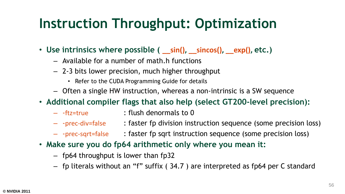#### **Instruction Throughput: Optimization**

- **Use intrinsics where possible ( \_\_sin(), \_\_sincos(), \_\_exp(), etc.)**
	- Available for a number of math.h functions
	- 2-3 bits lower precision, much higher throughput
		- Refer to the CUDA Programming Guide for details
	- Often a single HW instruction, whereas a non-intrinsic is a SW sequence
- **Additional compiler flags that also help (select GT200-level precision):**
	-
	- -ftz=true : flush denormals to 0
	- -prec-div=false : faster fp division instruction sequence (some precision loss)
	- -prec-sqrt=false : faster fp sqrt instruction sequence (some precision loss)
- **Make sure you do fp64 arithmetic only where you mean it:**
	- fp64 throughput is lower than fp32
	- fp literals without an "f" suffix ( 34.7 ) are interpreted as fp64 per C standard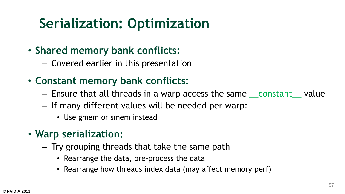#### **Serialization: Optimization**

- **Shared memory bank conflicts:**
	- Covered earlier in this presentation
- **Constant memory bank conflicts:**
	- Ensure that all threads in a warp access the same some tanger alue
	- If many different values will be needed per warp:
		- Use gmem or smem instead
- **Warp serialization:**
	- Try grouping threads that take the same path
		- Rearrange the data, pre-process the data
		- Rearrange how threads index data (may affect memory perf)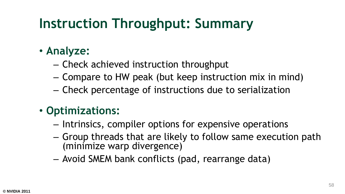#### **Instruction Throughput: Summary**

- **Analyze:**
	- Check achieved instruction throughput
	- Compare to HW peak (but keep instruction mix in mind)
	- Check percentage of instructions due to serialization

#### • **Optimizations:**

- Intrinsics, compiler options for expensive operations
- Group threads that are likely to follow same execution path (minimize warp divergence)
- Avoid SMEM bank conflicts (pad, rearrange data)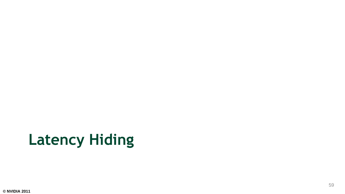# **Latency Hiding**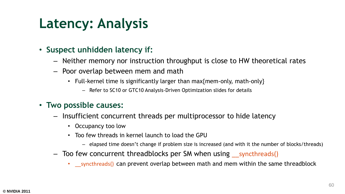#### **Latency: Analysis**

#### • **Suspect unhidden latency if:**

- Neither memory nor instruction throughput is close to HW theoretical rates
- Poor overlap between mem and math
	- Full-kernel time is significantly larger than max{mem-only, math-only}
		- Refer to SC10 or GTC10 Analysis-Driven Optimization slides for details

#### • **Two possible causes:**

- Insufficient concurrent threads per multiprocessor to hide latency
	- Occupancy too low
	- Too few threads in kernel launch to load the GPU
		- elapsed time doesn't change if problem size is increased (and with it the number of blocks/threads)
- Too few concurrent threadblocks per SM when using syncthreads()
	- syncthreads() can prevent overlap between math and mem within the same threadblock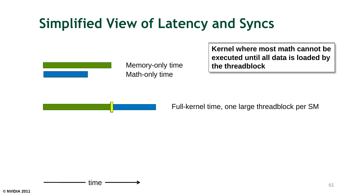#### **Simplified View of Latency and Syncs**



Math-only time Memory-only time **Kernel where most math cannot be executed until all data is loaded by the threadblock**



Full-kernel time, one large threadblock per SM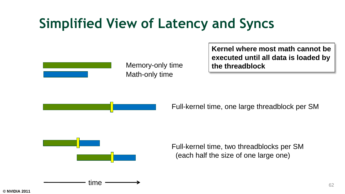#### **Simplified View of Latency and Syncs**



Math-only time Memory-only time **Kernel where most math cannot be executed until all data is loaded by the threadblock**



Full-kernel time, one large threadblock per SM



time

Full-kernel time, two threadblocks per SM (each half the size of one large one)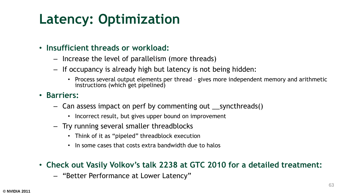#### **Latency: Optimization**

- **Insufficient threads or workload:**
	- Increase the level of parallelism (more threads)
	- If occupancy is already high but latency is not being hidden:
		- Process several output elements per thread gives more independent memory and arithmetic instructions (which get pipelined)
- **Barriers:**
	- Can assess impact on perf by commenting out \_\_syncthreads()
		- Incorrect result, but gives upper bound on improvement
	- Try running several smaller threadblocks
		- Think of it as "pipeled" threadblock execution
		- In some cases that costs extra bandwidth due to halos
- **Check out Vasily Volkov's talk 2238 at GTC 2010 for a detailed treatment:**
	- "Better Performance at Lower Latency"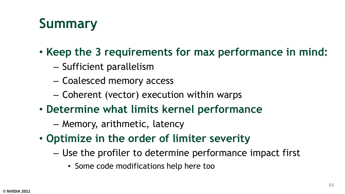### **Summary**

- **Keep the 3 requirements for max performance in mind:**
	- Sufficient parallelism
	- Coalesced memory access
	- Coherent (vector) execution within warps
- **Determine what limits kernel performance**
	- Memory, arithmetic, latency
- **Optimize in the order of limiter severity**
	- Use the profiler to determine performance impact first
		- Some code modifications help here too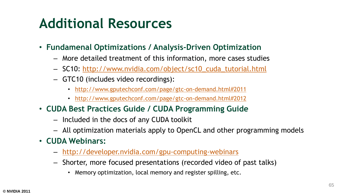#### **Additional Resources**

- **Fundamenal Optimizations / Analysis-Driven Optimization**
	- More detailed treatment of this information, more cases studies
	- SC10: [http://www.nvidia.com/object/sc10\\_cuda\\_tutorial.html](http://www.nvidia.com/object/sc10_cuda_tutorial.html)
	- GTC10 (includes video recordings):
		- [http://www.gputechconf.com/page/gtc-on-demand.html#2011](http://www.gputechconf.com/page/gtc-on-demand.html)
		- [http://www.gputechconf.com/page/gtc-on-demand.html#2012](http://www.gputechconf.com/page/gtc-on-demand.html)
- **CUDA Best Practices Guide / CUDA Programming Guide**
	- Included in the docs of any CUDA toolkit
	- All optimization materials apply to OpenCL and other programming models
- **CUDA Webinars:**
	- <http://developer.nvidia.com/gpu-computing-webinars>
	- Shorter, more focused presentations (recorded video of past talks)
		- Memory optimization, local memory and register spilling, etc.